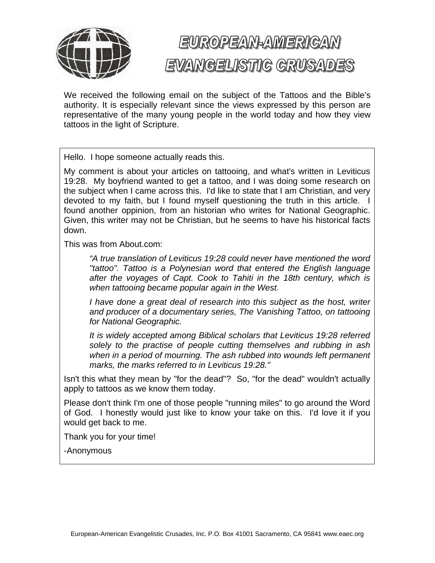

## EUROPEAN-AMERICAN EVANGELISTIC GRUSADES

We received the following email on the subject of the Tattoos and the Bible's authority. It is especially relevant since the views expressed by this person are representative of the many young people in the world today and how they view tattoos in the light of Scripture.

Hello. I hope someone actually reads this.

My comment is about your articles on tattooing, and what's written in Leviticus 19:28. My boyfriend wanted to get a tattoo, and I was doing some research on the subject when I came across this. I'd like to state that I am Christian, and very devoted to my faith, but I found myself questioning the truth in this article. I found another oppinion, from an historian who writes for National Geographic. Given, this writer may not be Christian, but he seems to have his historical facts down.

This was from About.com:

*"A true translation of Leviticus 19:28 could never have mentioned the word "tattoo". Tattoo is a Polynesian word that entered the English language after the voyages of Capt. Cook to Tahiti in the 18th century, which is when tattooing became popular again in the West.* 

*I have done a great deal of research into this subject as the host, writer and producer of a documentary series, The Vanishing Tattoo, on tattooing for National Geographic.* 

*It is widely accepted among Biblical scholars that Leviticus 19:28 referred solely to the practise of people cutting themselves and rubbing in ash when in a period of mourning. The ash rubbed into wounds left permanent marks, the marks referred to in Leviticus 19:28."* 

Isn't this what they mean by "for the dead"? So, "for the dead" wouldn't actually apply to tattoos as we know them today.

Please don't think I'm one of those people "running miles" to go around the Word of God. I honestly would just like to know your take on this. I'd love it if you would get back to me.

Thank you for your time!

-Anonymous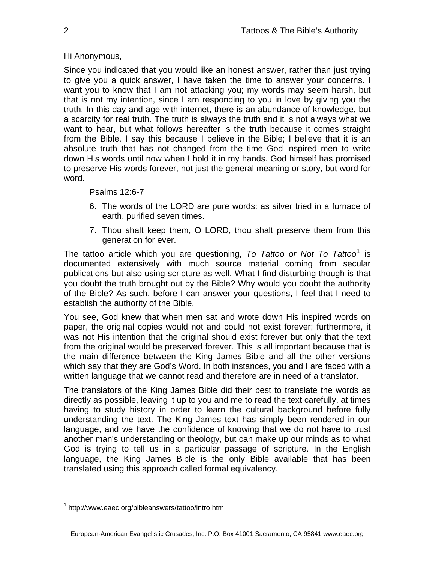## Hi Anonymous,

Since you indicated that you would like an honest answer, rather than just trying to give you a quick answer, I have taken the time to answer your concerns. I want you to know that I am not attacking you; my words may seem harsh, but that is not my intention, since I am responding to you in love by giving you the truth. In this day and age with internet, there is an abundance of knowledge, but a scarcity for real truth. The truth is always the truth and it is not always what we want to hear, but what follows hereafter is the truth because it comes straight from the Bible. I say this because I believe in the Bible; I believe that it is an absolute truth that has not changed from the time God inspired men to write down His words until now when I hold it in my hands. God himself has promised to preserve His words forever, not just the general meaning or story, but word for word.

## Psalms 12:6-7

- 6. The words of the LORD are pure words: as silver tried in a furnace of earth, purified seven times.
- 7. Thou shalt keep them, O LORD, thou shalt preserve them from this generation for ever.

The tattoo article which you are questioning, To Tattoo or Not To Tattoo<sup>[1](#page-1-0)</sup> is documented extensively with much source material coming from secular publications but also using scripture as well. What I find disturbing though is that you doubt the truth brought out by the Bible? Why would you doubt the authority of the Bible? As such, before I can answer your questions, I feel that I need to establish the authority of the Bible.

You see, God knew that when men sat and wrote down His inspired words on paper, the original copies would not and could not exist forever; furthermore, it was not His intention that the original should exist forever but only that the text from the original would be preserved forever. This is all important because that is the main difference between the King James Bible and all the other versions which say that they are God's Word. In both instances, you and I are faced with a written language that we cannot read and therefore are in need of a translator.

The translators of the King James Bible did their best to translate the words as directly as possible, leaving it up to you and me to read the text carefully, at times having to study history in order to learn the cultural background before fully understanding the text. The King James text has simply been rendered in our language, and we have the confidence of knowing that we do not have to trust another man's understanding or theology, but can make up our minds as to what God is trying to tell us in a particular passage of scripture. In the English language, the King James Bible is the only Bible available that has been translated using this approach called formal equivalency.

<span id="page-1-0"></span> $\overline{a}$ <sup>1</sup> http://www.eaec.org/bibleanswers/tattoo/intro.htm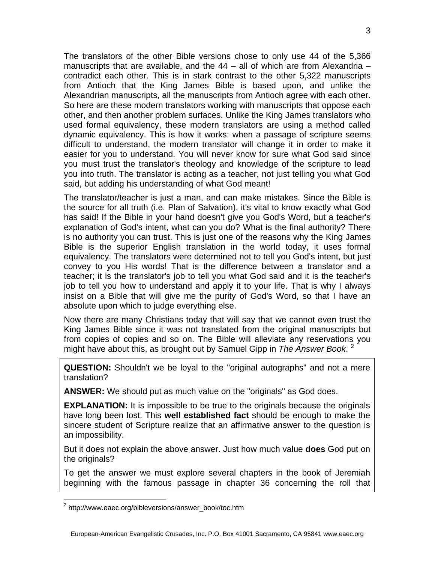The translators of the other Bible versions chose to only use 44 of the 5,366 manuscripts that are available, and the  $44 -$  all of which are from Alexandria  $$ contradict each other. This is in stark contrast to the other 5,322 manuscripts from Antioch that the King James Bible is based upon, and unlike the Alexandrian manuscripts, all the manuscripts from Antioch agree with each other. So here are these modern translators working with manuscripts that oppose each other, and then another problem surfaces. Unlike the King James translators who used formal equivalency, these modern translators are using a method called dynamic equivalency. This is how it works: when a passage of scripture seems difficult to understand, the modern translator will change it in order to make it easier for you to understand. You will never know for sure what God said since you must trust the translator's theology and knowledge of the scripture to lead you into truth. The translator is acting as a teacher, not just telling you what God said, but adding his understanding of what God meant!

The translator/teacher is just a man, and can make mistakes. Since the Bible is the source for all truth (i.e. Plan of Salvation), it's vital to know exactly what God has said! If the Bible in your hand doesn't give you God's Word, but a teacher's explanation of God's intent, what can you do? What is the final authority? There is no authority you can trust. This is just one of the reasons why the King James Bible is the superior English translation in the world today, it uses formal equivalency. The translators were determined not to tell you God's intent, but just convey to you His words! That is the difference between a translator and a teacher; it is the translator's job to tell you what God said and it is the teacher's job to tell you how to understand and apply it to your life. That is why I always insist on a Bible that will give me the purity of God's Word, so that I have an absolute upon which to judge everything else.

Now there are many Christians today that will say that we cannot even trust the King James Bible since it was not translated from the original manuscripts but from copies of copies and so on. The Bible will alleviate any reservations you might have about this, as brought out by Samuel Gipp in *The Answer Book*. [2](#page-2-0)

**QUESTION:** Shouldn't we be loyal to the "original autographs" and not a mere translation?

**ANSWER:** We should put as much value on the "originals" as God does.

**EXPLANATION:** It is impossible to be true to the originals because the originals have long been lost. This **well established fact** should be enough to make the sincere student of Scripture realize that an affirmative answer to the question is an impossibility.

But it does not explain the above answer. Just how much value **does** God put on the originals?

To get the answer we must explore several chapters in the book of Jeremiah beginning with the famous passage in chapter 36 concerning the roll that

 $\overline{a}$ 

<span id="page-2-0"></span><sup>&</sup>lt;sup>2</sup> http://www.eaec.org/bibleversions/answer\_book/toc.htm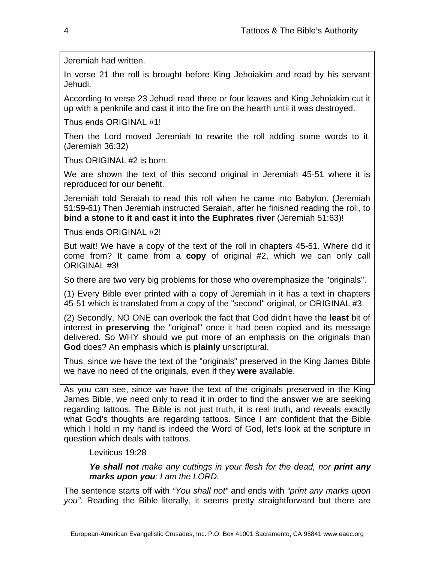Jeremiah had written.

In verse 21 the roll is brought before King Jehoiakim and read by his servant Jehudi.

According to verse 23 Jehudi read three or four leaves and King Jehoiakim cut it up with a penknife and cast it into the fire on the hearth until it was destroyed.

Thus ends ORIGINAL #1!

Then the Lord moved Jeremiah to rewrite the roll adding some words to it. (Jeremiah 36:32)

Thus ORIGINAL #2 is born.

We are shown the text of this second original in Jeremiah 45-51 where it is reproduced for our benefit.

Jeremiah told Seraiah to read this roll when he came into Babylon. (Jeremiah 51:59-61) Then Jeremiah instructed Seraiah, after he finished reading the roll, to **bind a stone to it and cast it into the Euphrates river** (Jeremiah 51:63)!

Thus ends ORIGINAL #2!

But wait! We have a copy of the text of the roll in chapters 45-51. Where did it come from? It came from a **copy** of original #2, which we can only call ORIGINAL #3!

So there are two very big problems for those who overemphasize the "originals".

(1) Every Bible ever printed with a copy of Jeremiah in it has a text in chapters 45-51 which is translated from a copy of the "second" original, or ORIGINAL #3.

(2) Secondly, NO ONE can overlook the fact that God didn't have the **least** bit of interest in **preserving** the "original" once it had been copied and its message delivered. So WHY should we put more of an emphasis on the originals than **God** does? An emphasis which is **plainly** unscriptural.

Thus, since we have the text of the "originals" preserved in the King James Bible we have no need of the originals, even if they **were** available.

As you can see, since we have the text of the originals preserved in the King James Bible, we need only to read it in order to find the answer we are seeking regarding tattoos. The Bible is not just truth, it is real truth, and reveals exactly what God's thoughts are regarding tattoos. Since I am confident that the Bible which I hold in my hand is indeed the Word of God, let's look at the scripture in question which deals with tattoos.

Leviticus 19:28

*Ye shall not make any cuttings in your flesh for the dead, nor print any marks upon you: I am the LORD.*

The sentence starts off with *"You shall not"* and ends with *"print any marks upon you".* Reading the Bible literally, it seems pretty straightforward but there are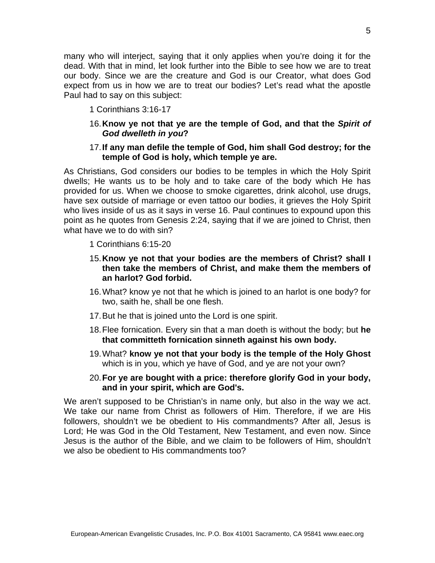many who will interject, saying that it only applies when you're doing it for the dead. With that in mind, let look further into the Bible to see how we are to treat our body. Since we are the creature and God is our Creator, what does God expect from us in how we are to treat our bodies? Let's read what the apostle Paul had to say on this subject:

- 1 Corinthians 3:16-17
- 16. **Know ye not that ye are the temple of God, and that the** *Spirit of God dwelleth in you***?**
- 17. **If any man defile the temple of God, him shall God destroy; for the temple of God is holy, which temple ye are.**

As Christians, God considers our bodies to be temples in which the Holy Spirit dwells; He wants us to be holy and to take care of the body which He has provided for us. When we choose to smoke cigarettes, drink alcohol, use drugs, have sex outside of marriage or even tattoo our bodies, it grieves the Holy Spirit who lives inside of us as it says in verse 16. Paul continues to expound upon this point as he quotes from Genesis 2:24, saying that if we are joined to Christ, then what have we to do with sin?

- 1 Corinthians 6:15-20
- 15. **Know ye not that your bodies are the members of Christ? shall I then take the members of Christ, and make them the members of an harlot? God forbid.**
- 16. What? know ye not that he which is joined to an harlot is one body? for two, saith he, shall be one flesh.
- 17. But he that is joined unto the Lord is one spirit.
- 18. Flee fornication. Every sin that a man doeth is without the body; but **he that committeth fornication sinneth against his own body.**
- 19. What? **know ye not that your body is the temple of the Holy Ghost** which is in you, which ye have of God, and ye are not your own?
- 20. **For ye are bought with a price: therefore glorify God in your body, and in your spirit, which are God's.**

We aren't supposed to be Christian's in name only, but also in the way we act. We take our name from Christ as followers of Him. Therefore, if we are His followers, shouldn't we be obedient to His commandments? After all, Jesus is Lord; He was God in the Old Testament, New Testament, and even now. Since Jesus is the author of the Bible, and we claim to be followers of Him, shouldn't we also be obedient to His commandments too?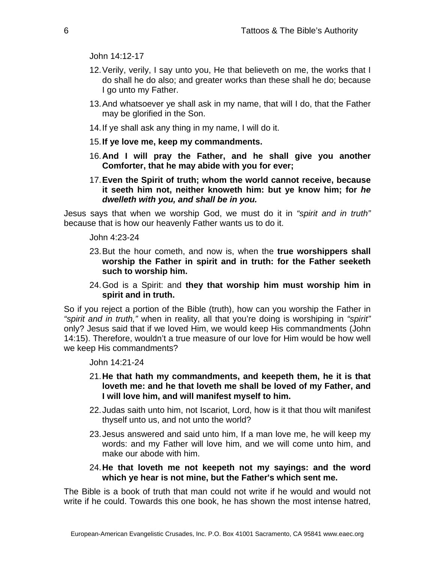John 14:12-17

- 12. Verily, verily, I say unto you, He that believeth on me, the works that I do shall he do also; and greater works than these shall he do; because I go unto my Father.
- 13. And whatsoever ye shall ask in my name, that will I do, that the Father may be glorified in the Son.
- 14. If ye shall ask any thing in my name, I will do it.
- 15. **If ye love me, keep my commandments.**
- 16. **And I will pray the Father, and he shall give you another Comforter, that he may abide with you for ever;**
- 17. **Even the Spirit of truth; whom the world cannot receive, because it seeth him not, neither knoweth him: but ye know him; for** *he dwelleth with you, and shall be in you.*

Jesus says that when we worship God, we must do it in *"spirit and in truth"* because that is how our heavenly Father wants us to do it.

John 4:23-24

- 23. But the hour cometh, and now is, when the **true worshippers shall worship the Father in spirit and in truth: for the Father seeketh such to worship him.**
- 24. God is a Spirit: and **they that worship him must worship him in spirit and in truth.**

So if you reject a portion of the Bible (truth), how can you worship the Father in *"spirit and in truth,"* when in reality, all that you're doing is worshiping in *"spirit"* only? Jesus said that if we loved Him, we would keep His commandments (John 14:15). Therefore, wouldn't a true measure of our love for Him would be how well we keep His commandments?

John 14:21-24

- 21. **He that hath my commandments, and keepeth them, he it is that loveth me: and he that loveth me shall be loved of my Father, and I will love him, and will manifest myself to him.**
- 22. Judas saith unto him, not Iscariot, Lord, how is it that thou wilt manifest thyself unto us, and not unto the world?
- 23. Jesus answered and said unto him, If a man love me, he will keep my words: and my Father will love him, and we will come unto him, and make our abode with him.
- 24. **He that loveth me not keepeth not my sayings: and the word which ye hear is not mine, but the Father's which sent me.**

The Bible is a book of truth that man could not write if he would and would not write if he could. Towards this one book, he has shown the most intense hatred,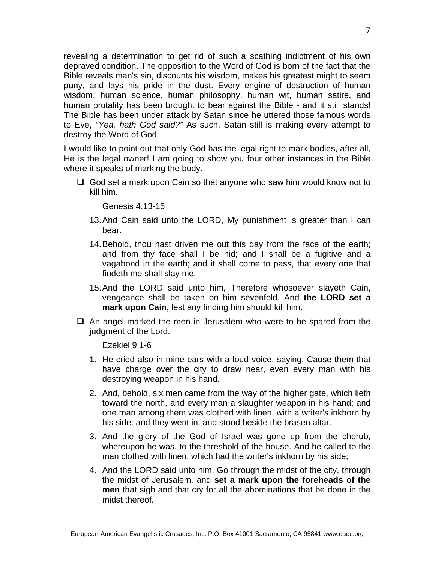revealing a determination to get rid of such a scathing indictment of his own depraved condition. The opposition to the Word of God is born of the fact that the Bible reveals man's sin, discounts his wisdom, makes his greatest might to seem puny, and lays his pride in the dust. Every engine of destruction of human wisdom, human science, human philosophy, human wit, human satire, and human brutality has been brought to bear against the Bible - and it still stands! The Bible has been under attack by Satan since he uttered those famous words to Eve, *"Yea, hath God said?"* As such, Satan still is making every attempt to destroy the Word of God.

I would like to point out that only God has the legal right to mark bodies, after all, He is the legal owner! I am going to show you four other instances in the Bible where it speaks of marking the body.

 $\Box$  God set a mark upon Cain so that anyone who saw him would know not to kill him.

Genesis 4:13-15

- 13. And Cain said unto the LORD, My punishment is greater than I can bear.
- 14. Behold, thou hast driven me out this day from the face of the earth; and from thy face shall I be hid; and I shall be a fugitive and a vagabond in the earth; and it shall come to pass, that every one that findeth me shall slay me.
- 15. And the LORD said unto him, Therefore whosoever slayeth Cain, vengeance shall be taken on him sevenfold. And **the LORD set a mark upon Cain,** lest any finding him should kill him.
- $\Box$  An angel marked the men in Jerusalem who were to be spared from the judgment of the Lord.

Ezekiel 9:1-6

- 1. He cried also in mine ears with a loud voice, saying, Cause them that have charge over the city to draw near, even every man with his destroying weapon in his hand.
- 2. And, behold, six men came from the way of the higher gate, which lieth toward the north, and every man a slaughter weapon in his hand; and one man among them was clothed with linen, with a writer's inkhorn by his side: and they went in, and stood beside the brasen altar.
- 3. And the glory of the God of Israel was gone up from the cherub, whereupon he was, to the threshold of the house. And he called to the man clothed with linen, which had the writer's inkhorn by his side;
- 4. And the LORD said unto him, Go through the midst of the city, through the midst of Jerusalem, and **set a mark upon the foreheads of the men** that sigh and that cry for all the abominations that be done in the midst thereof.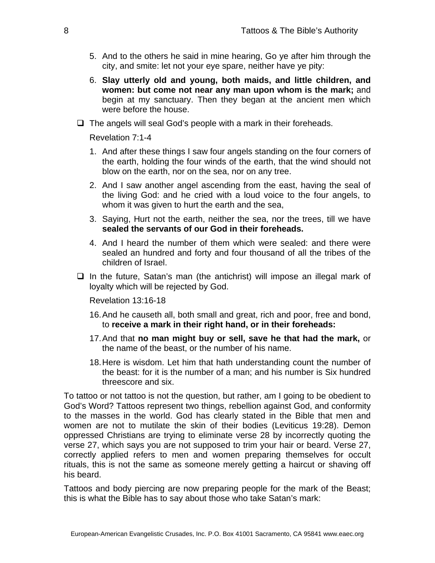- 5. And to the others he said in mine hearing, Go ye after him through the city, and smite: let not your eye spare, neither have ye pity:
- 6. **Slay utterly old and young, both maids, and little children, and women: but come not near any man upon whom is the mark;** and begin at my sanctuary. Then they began at the ancient men which were before the house.
- $\Box$  The angels will seal God's people with a mark in their foreheads.

Revelation 7:1-4

- 1. And after these things I saw four angels standing on the four corners of the earth, holding the four winds of the earth, that the wind should not blow on the earth, nor on the sea, nor on any tree.
- 2. And I saw another angel ascending from the east, having the seal of the living God: and he cried with a loud voice to the four angels, to whom it was given to hurt the earth and the sea,
- 3. Saying, Hurt not the earth, neither the sea, nor the trees, till we have **sealed the servants of our God in their foreheads.**
- 4. And I heard the number of them which were sealed: and there were sealed an hundred and forty and four thousand of all the tribes of the children of Israel.
- $\Box$  In the future, Satan's man (the antichrist) will impose an illegal mark of loyalty which will be rejected by God.

Revelation 13:16-18

- 16. And he causeth all, both small and great, rich and poor, free and bond, to **receive a mark in their right hand, or in their foreheads:**
- 17. And that **no man might buy or sell, save he that had the mark,** or the name of the beast, or the number of his name.
- 18. Here is wisdom. Let him that hath understanding count the number of the beast: for it is the number of a man; and his number is Six hundred threescore and six.

To tattoo or not tattoo is not the question, but rather, am I going to be obedient to God's Word? Tattoos represent two things, rebellion against God, and conformity to the masses in the world. God has clearly stated in the Bible that men and women are not to mutilate the skin of their bodies (Leviticus 19:28). Demon oppressed Christians are trying to eliminate verse 28 by incorrectly quoting the verse 27, which says you are not supposed to trim your hair or beard. Verse 27, correctly applied refers to men and women preparing themselves for occult rituals, this is not the same as someone merely getting a haircut or shaving off his beard.

Tattoos and body piercing are now preparing people for the mark of the Beast; this is what the Bible has to say about those who take Satan's mark: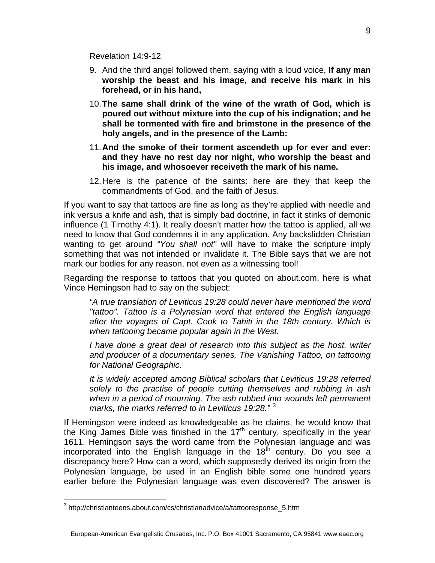Revelation 14:9-12

- 9. And the third angel followed them, saying with a loud voice, **If any man worship the beast and his image, and receive his mark in his forehead, or in his hand,**
- 10. **The same shall drink of the wine of the wrath of God, which is poured out without mixture into the cup of his indignation; and he shall be tormented with fire and brimstone in the presence of the holy angels, and in the presence of the Lamb:**
- 11. **And the smoke of their torment ascendeth up for ever and ever: and they have no rest day nor night, who worship the beast and his image, and whosoever receiveth the mark of his name.**
- 12. Here is the patience of the saints: here are they that keep the commandments of God, and the faith of Jesus.

If you want to say that tattoos are fine as long as they're applied with needle and ink versus a knife and ash, that is simply bad doctrine, in fact it stinks of demonic influence (1 Timothy 4:1). It really doesn't matter how the tattoo is applied, all we need to know that God condemns it in any application. Any backslidden Christian wanting to get around *"You shall not"* will have to make the scripture imply something that was not intended or invalidate it. The Bible says that we are not mark our bodies for any reason, not even as a witnessing tool!

Regarding the response to tattoos that you quoted on about.com, here is what Vince Hemingson had to say on the subject:

*"A true translation of Leviticus 19:28 could never have mentioned the word "tattoo". Tattoo is a Polynesian word that entered the English language after the voyages of Capt. Cook to Tahiti in the 18th century. Which is when tattooing became popular again in the West.* 

*I have done a great deal of research into this subject as the host, writer and producer of a documentary series, The Vanishing Tattoo, on tattooing for National Geographic.* 

*It is widely accepted among Biblical scholars that Leviticus 19:28 referred solely to the practise of people cutting themselves and rubbing in ash when in a period of mourning. The ash rubbed into wounds left permanent marks, the marks referred to in Leviticus 19:28."* [3](#page-8-0)

If Hemingson were indeed as knowledgeable as he claims, he would know that the King James Bible was finished in the 17<sup>th</sup> century, specifically in the year 1611. Hemingson says the word came from the Polynesian language and was incorporated into the English language in the  $18<sup>th</sup>$  century. Do you see a discrepancy here? How can a word, which supposedly derived its origin from the Polynesian language, be used in an English bible some one hundred years earlier before the Polynesian language was even discovered? The answer is

<span id="page-8-0"></span> 3 http://christianteens.about.com/cs/christianadvice/a/tattooresponse\_5.htm